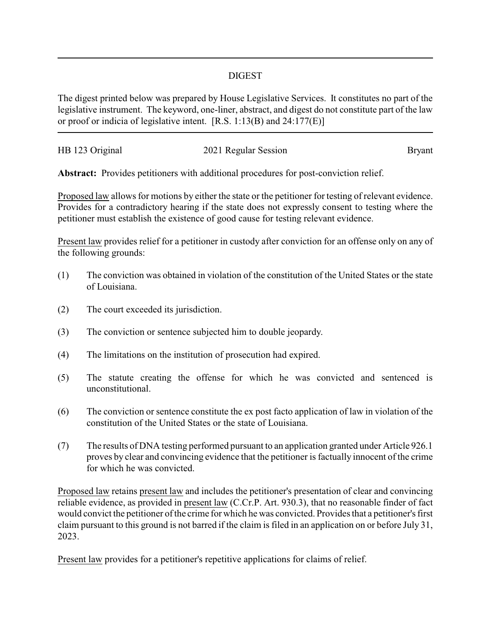## DIGEST

The digest printed below was prepared by House Legislative Services. It constitutes no part of the legislative instrument. The keyword, one-liner, abstract, and digest do not constitute part of the law or proof or indicia of legislative intent. [R.S. 1:13(B) and 24:177(E)]

| HB 123 Original | 2021 Regular Session | <b>Bryant</b> |
|-----------------|----------------------|---------------|
|                 |                      |               |

**Abstract:** Provides petitioners with additional procedures for post-conviction relief.

Proposed law allows for motions by either the state or the petitioner for testing of relevant evidence. Provides for a contradictory hearing if the state does not expressly consent to testing where the petitioner must establish the existence of good cause for testing relevant evidence.

Present law provides relief for a petitioner in custody after conviction for an offense only on any of the following grounds:

- (1) The conviction was obtained in violation of the constitution of the United States or the state of Louisiana.
- (2) The court exceeded its jurisdiction.
- (3) The conviction or sentence subjected him to double jeopardy.
- (4) The limitations on the institution of prosecution had expired.
- (5) The statute creating the offense for which he was convicted and sentenced is unconstitutional.
- (6) The conviction or sentence constitute the ex post facto application of law in violation of the constitution of the United States or the state of Louisiana.
- (7) The results of DNA testing performed pursuant to an application granted under Article 926.1 proves by clear and convincing evidence that the petitioner is factually innocent of the crime for which he was convicted.

Proposed law retains present law and includes the petitioner's presentation of clear and convincing reliable evidence, as provided in present law (C.Cr.P. Art. 930.3), that no reasonable finder of fact would convict the petitioner of the crime for which he was convicted. Provides that a petitioner's first claim pursuant to this ground is not barred if the claim is filed in an application on or before July 31, 2023.

Present law provides for a petitioner's repetitive applications for claims of relief.